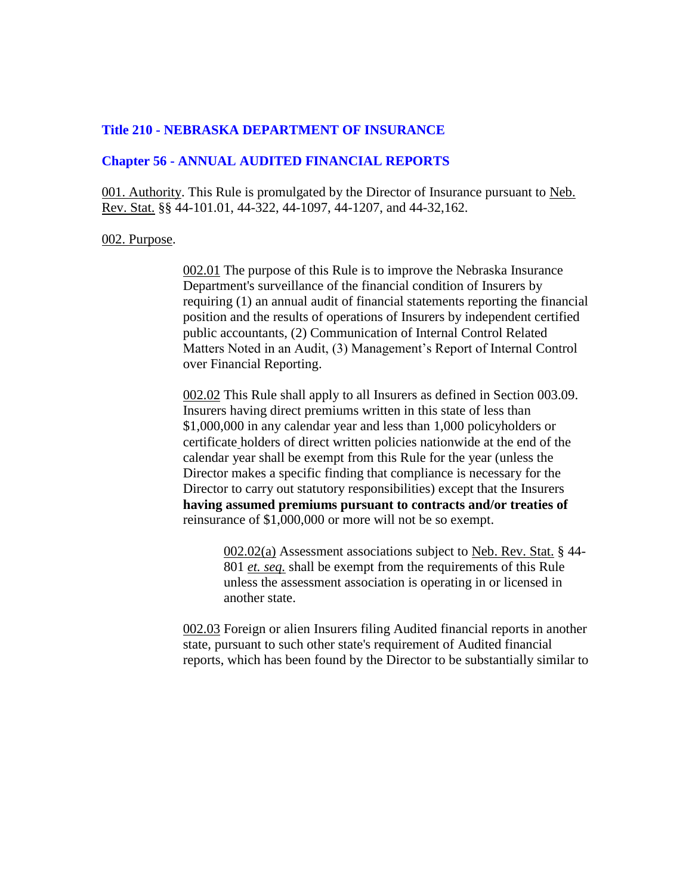# **Title 210 - NEBRASKA DEPARTMENT OF INSURANCE**

# **Chapter 56 - ANNUAL AUDITED FINANCIAL REPORTS**

001. Authority. This Rule is promulgated by the Director of Insurance pursuant to Neb. Rev. Stat. §§ 44-101.01, 44-322, 44-1097, 44-1207, and 44-32,162.

#### 002. Purpose.

002.01 The purpose of this Rule is to improve the Nebraska Insurance Department's surveillance of the financial condition of Insurers by requiring (1) an annual audit of financial statements reporting the financial position and the results of operations of Insurers by independent certified public accountants, (2) Communication of Internal Control Related Matters Noted in an Audit, (3) Management's Report of Internal Control over Financial Reporting.

002.02 This Rule shall apply to all Insurers as defined in Section 003.09. Insurers having direct premiums written in this state of less than \$1,000,000 in any calendar year and less than 1,000 policyholders or certificate holders of direct written policies nationwide at the end of the calendar year shall be exempt from this Rule for the year (unless the Director makes a specific finding that compliance is necessary for the Director to carry out statutory responsibilities) except that the Insurers **having assumed premiums pursuant to contracts and/or treaties of** reinsurance of \$1,000,000 or more will not be so exempt.

002.02(a) Assessment associations subject to Neb. Rev. Stat. § 44- 801 *et. seq.* shall be exempt from the requirements of this Rule unless the assessment association is operating in or licensed in another state.

002.03 Foreign or alien Insurers filing Audited financial reports in another state, pursuant to such other state's requirement of Audited financial reports, which has been found by the Director to be substantially similar to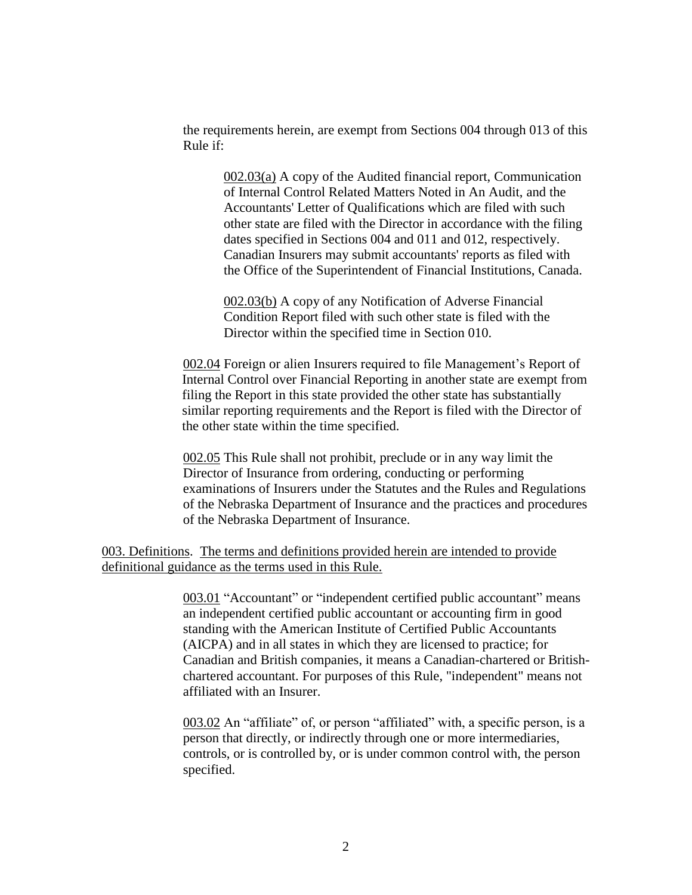the requirements herein, are exempt from Sections 004 through 013 of this Rule if:

002.03(a) A copy of the Audited financial report, Communication of Internal Control Related Matters Noted in An Audit, and the Accountants' Letter of Qualifications which are filed with such other state are filed with the Director in accordance with the filing dates specified in Sections 004 and 011 and 012, respectively. Canadian Insurers may submit accountants' reports as filed with the Office of the Superintendent of Financial Institutions, Canada.

002.03(b) A copy of any Notification of Adverse Financial Condition Report filed with such other state is filed with the Director within the specified time in Section 010.

002.04 Foreign or alien Insurers required to file Management's Report of Internal Control over Financial Reporting in another state are exempt from filing the Report in this state provided the other state has substantially similar reporting requirements and the Report is filed with the Director of the other state within the time specified.

002.05 This Rule shall not prohibit, preclude or in any way limit the Director of Insurance from ordering, conducting or performing examinations of Insurers under the Statutes and the Rules and Regulations of the Nebraska Department of Insurance and the practices and procedures of the Nebraska Department of Insurance.

# 003. Definitions. The terms and definitions provided herein are intended to provide definitional guidance as the terms used in this Rule.

003.01 "Accountant" or "independent certified public accountant" means an independent certified public accountant or accounting firm in good standing with the American Institute of Certified Public Accountants (AICPA) and in all states in which they are licensed to practice; for Canadian and British companies, it means a Canadian-chartered or Britishchartered accountant. For purposes of this Rule, "independent" means not affiliated with an Insurer.

003.02 An "affiliate" of, or person "affiliated" with, a specific person, is a person that directly, or indirectly through one or more intermediaries, controls, or is controlled by, or is under common control with, the person specified.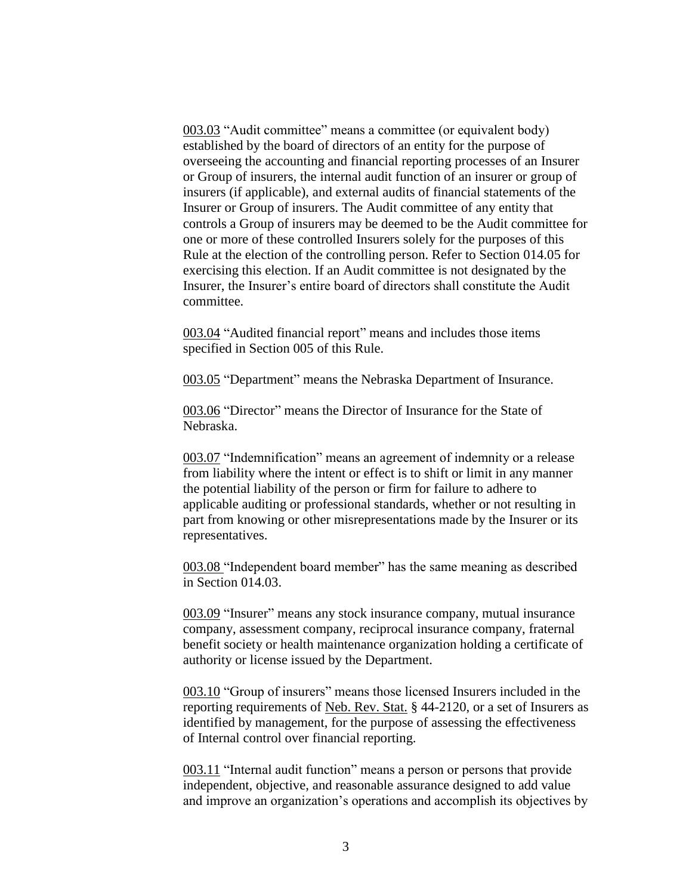003.03 "Audit committee" means a committee (or equivalent body) established by the board of directors of an entity for the purpose of overseeing the accounting and financial reporting processes of an Insurer or Group of insurers, the internal audit function of an insurer or group of insurers (if applicable), and external audits of financial statements of the Insurer or Group of insurers. The Audit committee of any entity that controls a Group of insurers may be deemed to be the Audit committee for one or more of these controlled Insurers solely for the purposes of this Rule at the election of the controlling person. Refer to Section 014.05 for exercising this election. If an Audit committee is not designated by the Insurer, the Insurer's entire board of directors shall constitute the Audit committee.

003.04 "Audited financial report" means and includes those items specified in Section 005 of this Rule.

003.05 "Department" means the Nebraska Department of Insurance.

003.06 "Director" means the Director of Insurance for the State of Nebraska.

003.07 "Indemnification" means an agreement of indemnity or a release from liability where the intent or effect is to shift or limit in any manner the potential liability of the person or firm for failure to adhere to applicable auditing or professional standards, whether or not resulting in part from knowing or other misrepresentations made by the Insurer or its representatives.

003.08 "Independent board member" has the same meaning as described in Section 014.03.

003.09 "Insurer" means any stock insurance company, mutual insurance company, assessment company, reciprocal insurance company, fraternal benefit society or health maintenance organization holding a certificate of authority or license issued by the Department.

003.10 "Group of insurers" means those licensed Insurers included in the reporting requirements of Neb. Rev. Stat. § 44-2120, or a set of Insurers as identified by management, for the purpose of assessing the effectiveness of Internal control over financial reporting.

003.11 "Internal audit function" means a person or persons that provide independent, objective, and reasonable assurance designed to add value and improve an organization's operations and accomplish its objectives by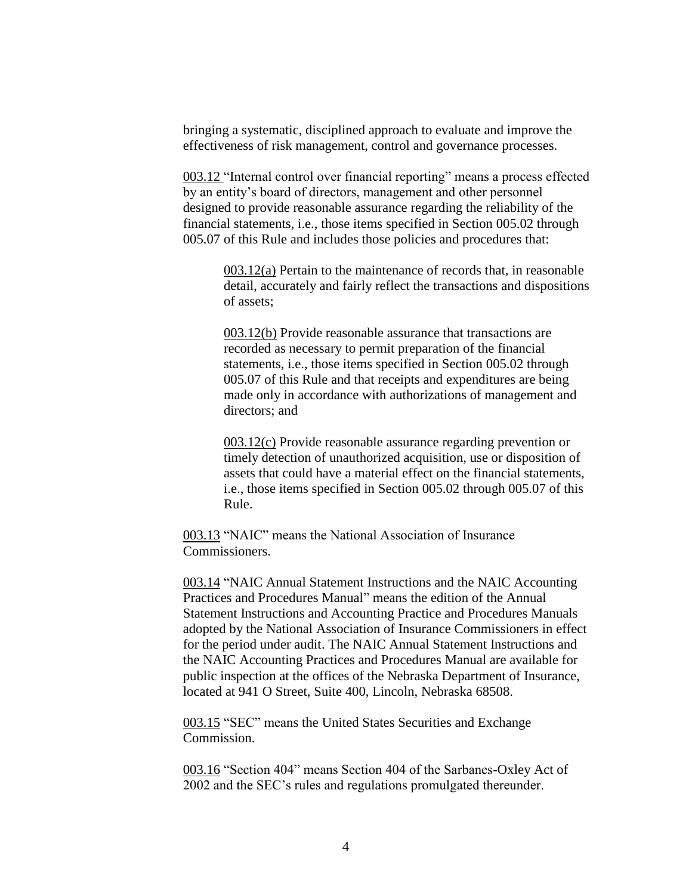bringing a systematic, disciplined approach to evaluate and improve the effectiveness of risk management, control and governance processes.

003.12 "Internal control over financial reporting" means a process effected by an entity's board of directors, management and other personnel designed to provide reasonable assurance regarding the reliability of the financial statements, i.e., those items specified in Section 005.02 through 005.07 of this Rule and includes those policies and procedures that:

> 003.12(a) Pertain to the maintenance of records that, in reasonable detail, accurately and fairly reflect the transactions and dispositions of assets;

003.12(b) Provide reasonable assurance that transactions are recorded as necessary to permit preparation of the financial statements, i.e., those items specified in Section 005.02 through 005.07 of this Rule and that receipts and expenditures are being made only in accordance with authorizations of management and directors; and

003.12(c) Provide reasonable assurance regarding prevention or timely detection of unauthorized acquisition, use or disposition of assets that could have a material effect on the financial statements, i.e., those items specified in Section 005.02 through 005.07 of this Rule.

003.13 "NAIC" means the National Association of Insurance Commissioners.

003.14 "NAIC Annual Statement Instructions and the NAIC Accounting Practices and Procedures Manual" means the edition of the Annual Statement Instructions and Accounting Practice and Procedures Manuals adopted by the National Association of Insurance Commissioners in effect for the period under audit. The NAIC Annual Statement Instructions and the NAIC Accounting Practices and Procedures Manual are available for public inspection at the offices of the Nebraska Department of Insurance, located at 941 O Street, Suite 400, Lincoln, Nebraska 68508.

003.15 "SEC" means the United States Securities and Exchange Commission.

003.16 "Section 404" means Section 404 of the Sarbanes-Oxley Act of 2002 and the SEC's rules and regulations promulgated thereunder.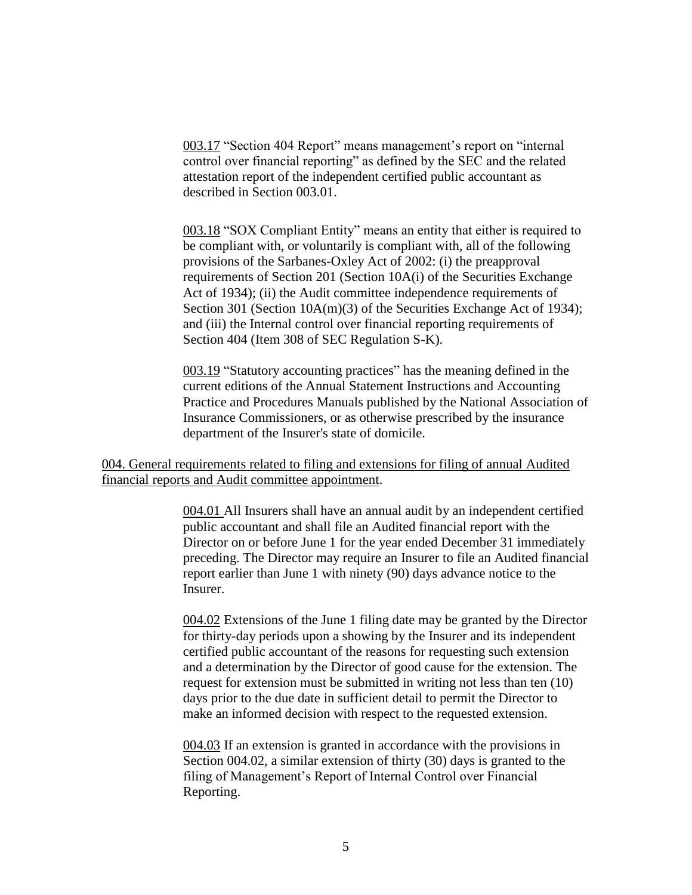003.17 "Section 404 Report" means management's report on "internal control over financial reporting" as defined by the SEC and the related attestation report of the independent certified public accountant as described in Section 003.01.

003.18 "SOX Compliant Entity" means an entity that either is required to be compliant with, or voluntarily is compliant with, all of the following provisions of the Sarbanes-Oxley Act of 2002: (i) the preapproval requirements of Section 201 (Section 10A(i) of the Securities Exchange Act of 1934); (ii) the Audit committee independence requirements of Section 301 (Section 10A(m)(3) of the Securities Exchange Act of 1934); and (iii) the Internal control over financial reporting requirements of Section 404 (Item 308 of SEC Regulation S-K).

003.19 "Statutory accounting practices" has the meaning defined in the current editions of the Annual Statement Instructions and Accounting Practice and Procedures Manuals published by the National Association of Insurance Commissioners, or as otherwise prescribed by the insurance department of the Insurer's state of domicile.

# 004. General requirements related to filing and extensions for filing of annual Audited financial reports and Audit committee appointment.

004.01 All Insurers shall have an annual audit by an independent certified public accountant and shall file an Audited financial report with the Director on or before June 1 for the year ended December 31 immediately preceding. The Director may require an Insurer to file an Audited financial report earlier than June 1 with ninety (90) days advance notice to the Insurer.

004.02 Extensions of the June 1 filing date may be granted by the Director for thirty-day periods upon a showing by the Insurer and its independent certified public accountant of the reasons for requesting such extension and a determination by the Director of good cause for the extension. The request for extension must be submitted in writing not less than ten (10) days prior to the due date in sufficient detail to permit the Director to make an informed decision with respect to the requested extension.

004.03 If an extension is granted in accordance with the provisions in Section 004.02, a similar extension of thirty (30) days is granted to the filing of Management's Report of Internal Control over Financial Reporting.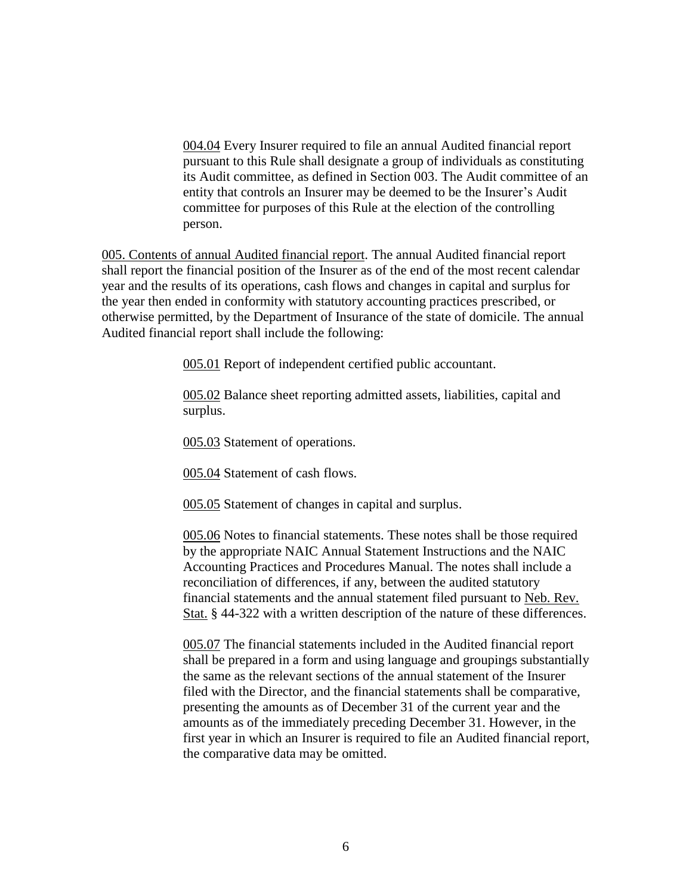004.04 Every Insurer required to file an annual Audited financial report pursuant to this Rule shall designate a group of individuals as constituting its Audit committee, as defined in Section 003. The Audit committee of an entity that controls an Insurer may be deemed to be the Insurer's Audit committee for purposes of this Rule at the election of the controlling person.

005. Contents of annual Audited financial report. The annual Audited financial report shall report the financial position of the Insurer as of the end of the most recent calendar year and the results of its operations, cash flows and changes in capital and surplus for the year then ended in conformity with statutory accounting practices prescribed, or otherwise permitted, by the Department of Insurance of the state of domicile. The annual Audited financial report shall include the following:

005.01 Report of independent certified public accountant.

005.02 Balance sheet reporting admitted assets, liabilities, capital and surplus.

005.03 Statement of operations.

005.04 Statement of cash flows.

005.05 Statement of changes in capital and surplus.

005.06 Notes to financial statements. These notes shall be those required by the appropriate NAIC Annual Statement Instructions and the NAIC Accounting Practices and Procedures Manual. The notes shall include a reconciliation of differences, if any, between the audited statutory financial statements and the annual statement filed pursuant to Neb. Rev. Stat. § 44-322 with a written description of the nature of these differences.

005.07 The financial statements included in the Audited financial report shall be prepared in a form and using language and groupings substantially the same as the relevant sections of the annual statement of the Insurer filed with the Director, and the financial statements shall be comparative, presenting the amounts as of December 31 of the current year and the amounts as of the immediately preceding December 31. However, in the first year in which an Insurer is required to file an Audited financial report, the comparative data may be omitted.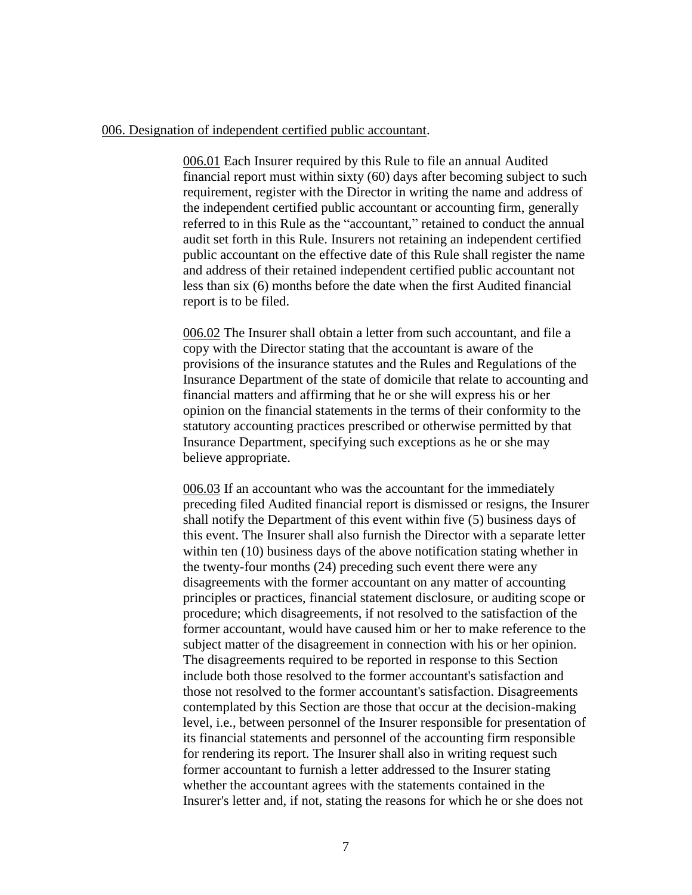## 006. Designation of independent certified public accountant.

006.01 Each Insurer required by this Rule to file an annual Audited financial report must within sixty (60) days after becoming subject to such requirement, register with the Director in writing the name and address of the independent certified public accountant or accounting firm, generally referred to in this Rule as the "accountant," retained to conduct the annual audit set forth in this Rule. Insurers not retaining an independent certified public accountant on the effective date of this Rule shall register the name and address of their retained independent certified public accountant not less than six (6) months before the date when the first Audited financial report is to be filed.

006.02 The Insurer shall obtain a letter from such accountant, and file a copy with the Director stating that the accountant is aware of the provisions of the insurance statutes and the Rules and Regulations of the Insurance Department of the state of domicile that relate to accounting and financial matters and affirming that he or she will express his or her opinion on the financial statements in the terms of their conformity to the statutory accounting practices prescribed or otherwise permitted by that Insurance Department, specifying such exceptions as he or she may believe appropriate.

006.03 If an accountant who was the accountant for the immediately preceding filed Audited financial report is dismissed or resigns, the Insurer shall notify the Department of this event within five (5) business days of this event. The Insurer shall also furnish the Director with a separate letter within ten (10) business days of the above notification stating whether in the twenty-four months (24) preceding such event there were any disagreements with the former accountant on any matter of accounting principles or practices, financial statement disclosure, or auditing scope or procedure; which disagreements, if not resolved to the satisfaction of the former accountant, would have caused him or her to make reference to the subject matter of the disagreement in connection with his or her opinion. The disagreements required to be reported in response to this Section include both those resolved to the former accountant's satisfaction and those not resolved to the former accountant's satisfaction. Disagreements contemplated by this Section are those that occur at the decision-making level, i.e., between personnel of the Insurer responsible for presentation of its financial statements and personnel of the accounting firm responsible for rendering its report. The Insurer shall also in writing request such former accountant to furnish a letter addressed to the Insurer stating whether the accountant agrees with the statements contained in the Insurer's letter and, if not, stating the reasons for which he or she does not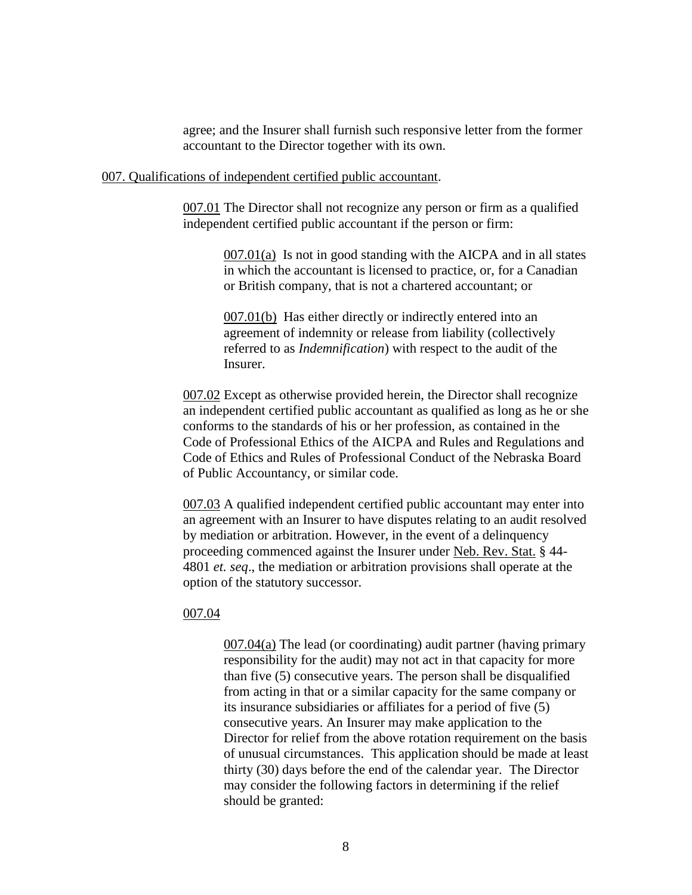agree; and the Insurer shall furnish such responsive letter from the former accountant to the Director together with its own.

### 007. Qualifications of independent certified public accountant.

007.01 The Director shall not recognize any person or firm as a qualified independent certified public accountant if the person or firm:

> $007.01(a)$  Is not in good standing with the AICPA and in all states in which the accountant is licensed to practice, or, for a Canadian or British company, that is not a chartered accountant; or

007.01(b) Has either directly or indirectly entered into an agreement of indemnity or release from liability (collectively referred to as *Indemnification*) with respect to the audit of the Insurer.

007.02 Except as otherwise provided herein, the Director shall recognize an independent certified public accountant as qualified as long as he or she conforms to the standards of his or her profession, as contained in the Code of Professional Ethics of the AICPA and Rules and Regulations and Code of Ethics and Rules of Professional Conduct of the Nebraska Board of Public Accountancy, or similar code.

007.03 A qualified independent certified public accountant may enter into an agreement with an Insurer to have disputes relating to an audit resolved by mediation or arbitration. However, in the event of a delinquency proceeding commenced against the Insurer under Neb. Rev. Stat. § 44- 4801 *et. seq*., the mediation or arbitration provisions shall operate at the option of the statutory successor.

#### 007.04

 $007.04(a)$  The lead (or coordinating) audit partner (having primary responsibility for the audit) may not act in that capacity for more than five (5) consecutive years. The person shall be disqualified from acting in that or a similar capacity for the same company or its insurance subsidiaries or affiliates for a period of five (5) consecutive years. An Insurer may make application to the Director for relief from the above rotation requirement on the basis of unusual circumstances. This application should be made at least thirty (30) days before the end of the calendar year. The Director may consider the following factors in determining if the relief should be granted: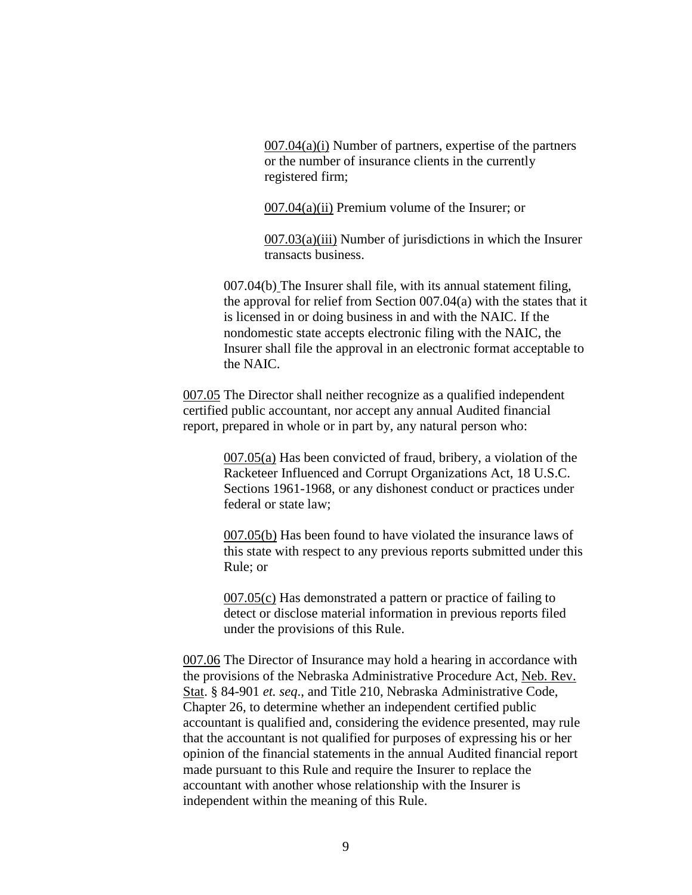$007.04(a)(i)$  Number of partners, expertise of the partners or the number of insurance clients in the currently registered firm;

007.04(a)(ii) Premium volume of the Insurer; or

007.03(a)(iii) Number of jurisdictions in which the Insurer transacts business.

007.04(b) The Insurer shall file, with its annual statement filing, the approval for relief from Section 007.04(a) with the states that it is licensed in or doing business in and with the NAIC. If the nondomestic state accepts electronic filing with the NAIC, the Insurer shall file the approval in an electronic format acceptable to the NAIC.

007.05 The Director shall neither recognize as a qualified independent certified public accountant, nor accept any annual Audited financial report, prepared in whole or in part by, any natural person who:

> 007.05(a) Has been convicted of fraud, bribery, a violation of the Racketeer Influenced and Corrupt Organizations Act, 18 U.S.C. Sections 1961-1968, or any dishonest conduct or practices under federal or state law;

007.05(b) Has been found to have violated the insurance laws of this state with respect to any previous reports submitted under this Rule; or

007.05(c) Has demonstrated a pattern or practice of failing to detect or disclose material information in previous reports filed under the provisions of this Rule.

007.06 The Director of Insurance may hold a hearing in accordance with the provisions of the Nebraska Administrative Procedure Act, Neb. Rev. Stat. § 84-901 *et. seq*., and Title 210, Nebraska Administrative Code, Chapter 26, to determine whether an independent certified public accountant is qualified and, considering the evidence presented, may rule that the accountant is not qualified for purposes of expressing his or her opinion of the financial statements in the annual Audited financial report made pursuant to this Rule and require the Insurer to replace the accountant with another whose relationship with the Insurer is independent within the meaning of this Rule.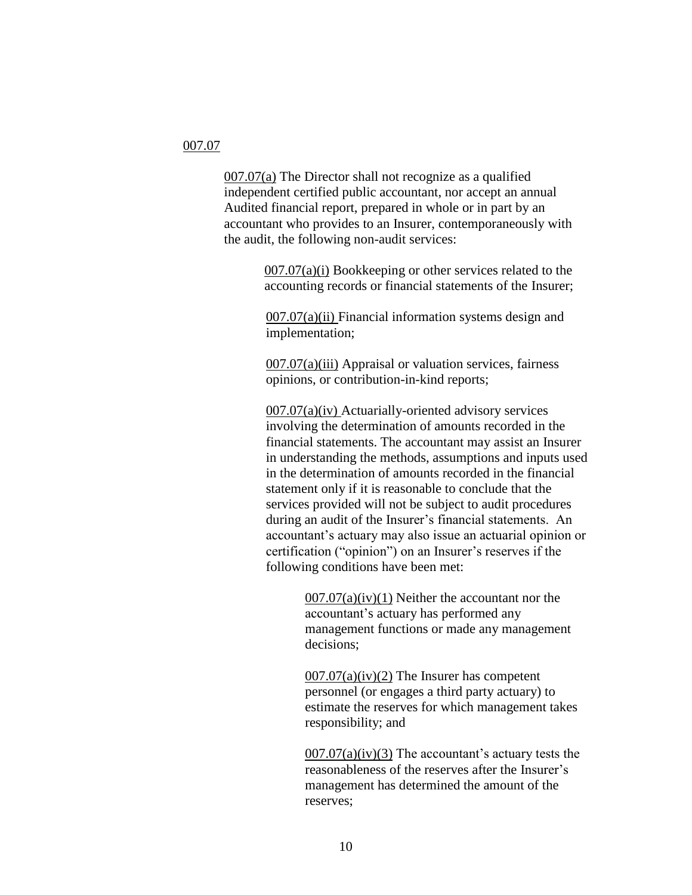#### 007.07

007.07(a) The Director shall not recognize as a qualified independent certified public accountant, nor accept an annual Audited financial report, prepared in whole or in part by an accountant who provides to an Insurer, contemporaneously with the audit, the following non-audit services:

> 007.07(a)(i) Bookkeeping or other services related to the accounting records or financial statements of the Insurer;

 $007.07(a)(ii)$  Financial information systems design and implementation;

007.07(a)(iii) Appraisal or valuation services, fairness opinions, or contribution-in-kind reports;

007.07(a)(iv) Actuarially-oriented advisory services involving the determination of amounts recorded in the financial statements. The accountant may assist an Insurer in understanding the methods, assumptions and inputs used in the determination of amounts recorded in the financial statement only if it is reasonable to conclude that the services provided will not be subject to audit procedures during an audit of the Insurer's financial statements. An accountant's actuary may also issue an actuarial opinion or certification ("opinion") on an Insurer's reserves if the following conditions have been met:

> $007.07(a)(iv)(1)$  Neither the accountant nor the accountant's actuary has performed any management functions or made any management decisions;

 $007.07(a)(iv)(2)$  The Insurer has competent personnel (or engages a third party actuary) to estimate the reserves for which management takes responsibility; and

 $007.07(a)(iv)(3)$  The accountant's actuary tests the reasonableness of the reserves after the Insurer's management has determined the amount of the reserves;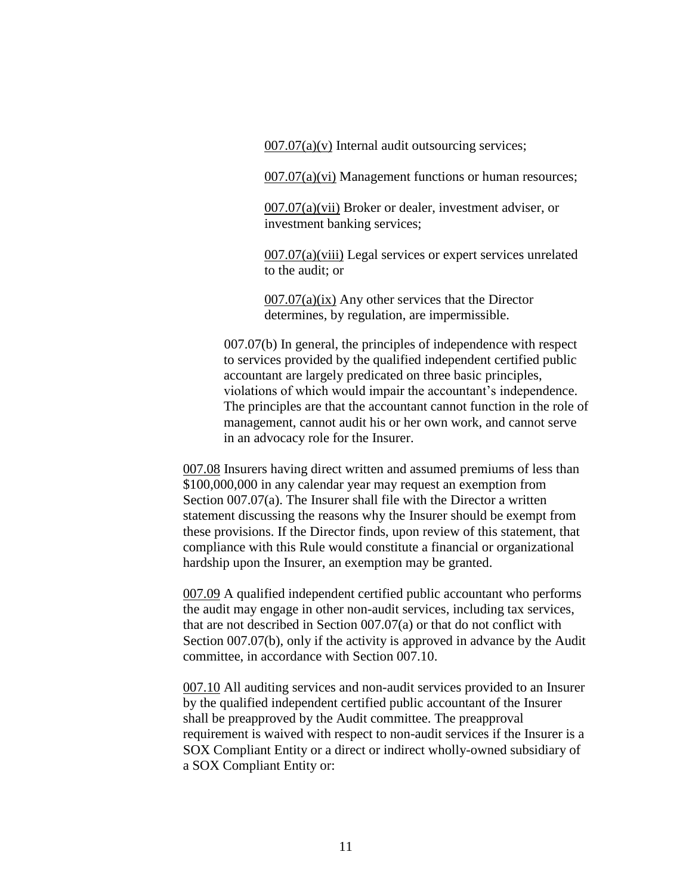$007.07(a)(v)$  Internal audit outsourcing services;

007.07(a)(vi) Management functions or human resources;

007.07(a)(vii) Broker or dealer, investment adviser, or investment banking services;

007.07(a)(viii) Legal services or expert services unrelated to the audit; or

 $007.07(a)(ix)$  Any other services that the Director determines, by regulation, are impermissible.

007.07(b) In general, the principles of independence with respect to services provided by the qualified independent certified public accountant are largely predicated on three basic principles, violations of which would impair the accountant's independence. The principles are that the accountant cannot function in the role of management, cannot audit his or her own work, and cannot serve in an advocacy role for the Insurer.

007.08 Insurers having direct written and assumed premiums of less than \$100,000,000 in any calendar year may request an exemption from Section 007.07(a). The Insurer shall file with the Director a written statement discussing the reasons why the Insurer should be exempt from these provisions. If the Director finds, upon review of this statement, that compliance with this Rule would constitute a financial or organizational hardship upon the Insurer, an exemption may be granted.

007.09 A qualified independent certified public accountant who performs the audit may engage in other non-audit services, including tax services, that are not described in Section 007.07(a) or that do not conflict with Section 007.07(b), only if the activity is approved in advance by the Audit committee, in accordance with Section 007.10.

007.10 All auditing services and non-audit services provided to an Insurer by the qualified independent certified public accountant of the Insurer shall be preapproved by the Audit committee. The preapproval requirement is waived with respect to non-audit services if the Insurer is a SOX Compliant Entity or a direct or indirect wholly-owned subsidiary of a SOX Compliant Entity or: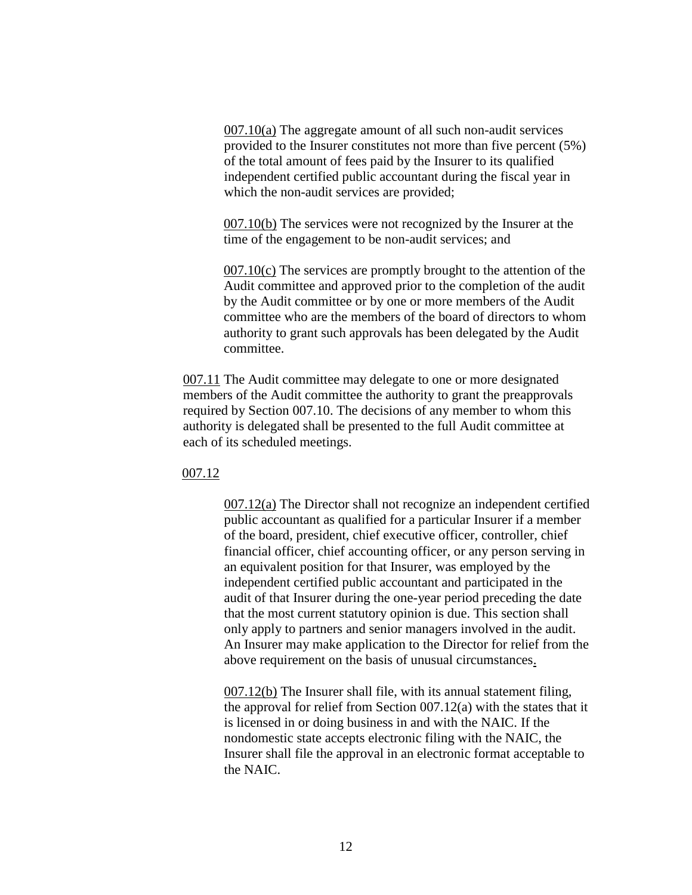$007.10(a)$  The aggregate amount of all such non-audit services provided to the Insurer constitutes not more than five percent (5%) of the total amount of fees paid by the Insurer to its qualified independent certified public accountant during the fiscal year in which the non-audit services are provided;

007.10(b) The services were not recognized by the Insurer at the time of the engagement to be non-audit services; and

007.10(c) The services are promptly brought to the attention of the Audit committee and approved prior to the completion of the audit by the Audit committee or by one or more members of the Audit committee who are the members of the board of directors to whom authority to grant such approvals has been delegated by the Audit committee.

007.11 The Audit committee may delegate to one or more designated members of the Audit committee the authority to grant the preapprovals required by Section 007.10. The decisions of any member to whom this authority is delegated shall be presented to the full Audit committee at each of its scheduled meetings.

007.12

007.12(a) The Director shall not recognize an independent certified public accountant as qualified for a particular Insurer if a member of the board, president, chief executive officer, controller, chief financial officer, chief accounting officer, or any person serving in an equivalent position for that Insurer, was employed by the independent certified public accountant and participated in the audit of that Insurer during the one-year period preceding the date that the most current statutory opinion is due. This section shall only apply to partners and senior managers involved in the audit. An Insurer may make application to the Director for relief from the above requirement on the basis of unusual circumstances.

007.12(b) The Insurer shall file, with its annual statement filing, the approval for relief from Section 007.12(a) with the states that it is licensed in or doing business in and with the NAIC. If the nondomestic state accepts electronic filing with the NAIC, the Insurer shall file the approval in an electronic format acceptable to the NAIC.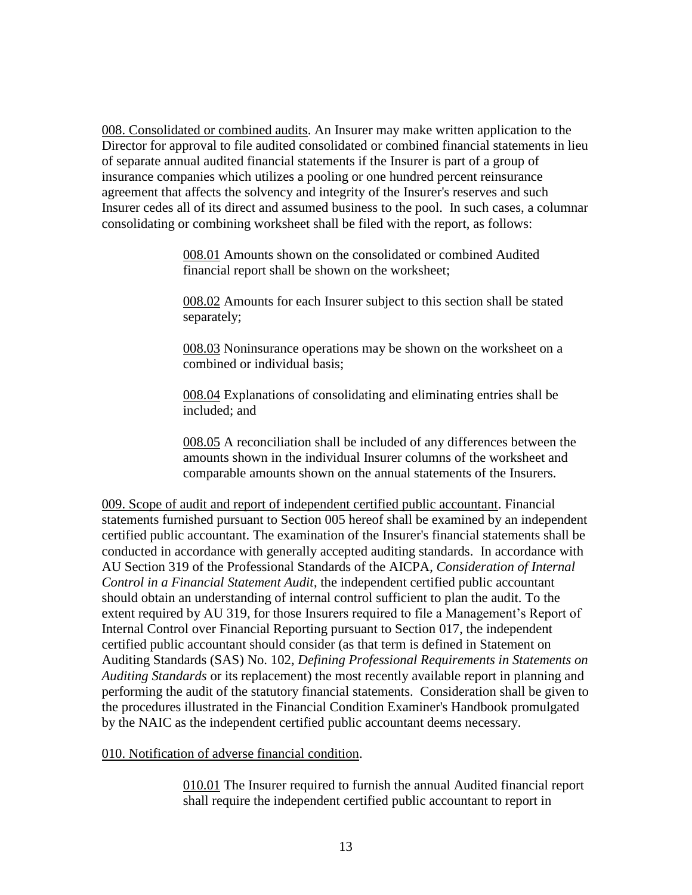008. Consolidated or combined audits. An Insurer may make written application to the Director for approval to file audited consolidated or combined financial statements in lieu of separate annual audited financial statements if the Insurer is part of a group of insurance companies which utilizes a pooling or one hundred percent reinsurance agreement that affects the solvency and integrity of the Insurer's reserves and such Insurer cedes all of its direct and assumed business to the pool. In such cases, a columnar consolidating or combining worksheet shall be filed with the report, as follows:

> 008.01 Amounts shown on the consolidated or combined Audited financial report shall be shown on the worksheet;

008.02 Amounts for each Insurer subject to this section shall be stated separately;

008.03 Noninsurance operations may be shown on the worksheet on a combined or individual basis;

008.04 Explanations of consolidating and eliminating entries shall be included; and

008.05 A reconciliation shall be included of any differences between the amounts shown in the individual Insurer columns of the worksheet and comparable amounts shown on the annual statements of the Insurers.

009. Scope of audit and report of independent certified public accountant. Financial statements furnished pursuant to Section 005 hereof shall be examined by an independent certified public accountant. The examination of the Insurer's financial statements shall be conducted in accordance with generally accepted auditing standards. In accordance with AU Section 319 of the Professional Standards of the AICPA, *Consideration of Internal Control in a Financial Statement Audit*, the independent certified public accountant should obtain an understanding of internal control sufficient to plan the audit. To the extent required by AU 319, for those Insurers required to file a Management's Report of Internal Control over Financial Reporting pursuant to Section 017, the independent certified public accountant should consider (as that term is defined in Statement on Auditing Standards (SAS) No. 102, *Defining Professional Requirements in Statements on Auditing Standards* or its replacement) the most recently available report in planning and performing the audit of the statutory financial statements. Consideration shall be given to the procedures illustrated in the Financial Condition Examiner's Handbook promulgated by the NAIC as the independent certified public accountant deems necessary.

010. Notification of adverse financial condition.

010.01 The Insurer required to furnish the annual Audited financial report shall require the independent certified public accountant to report in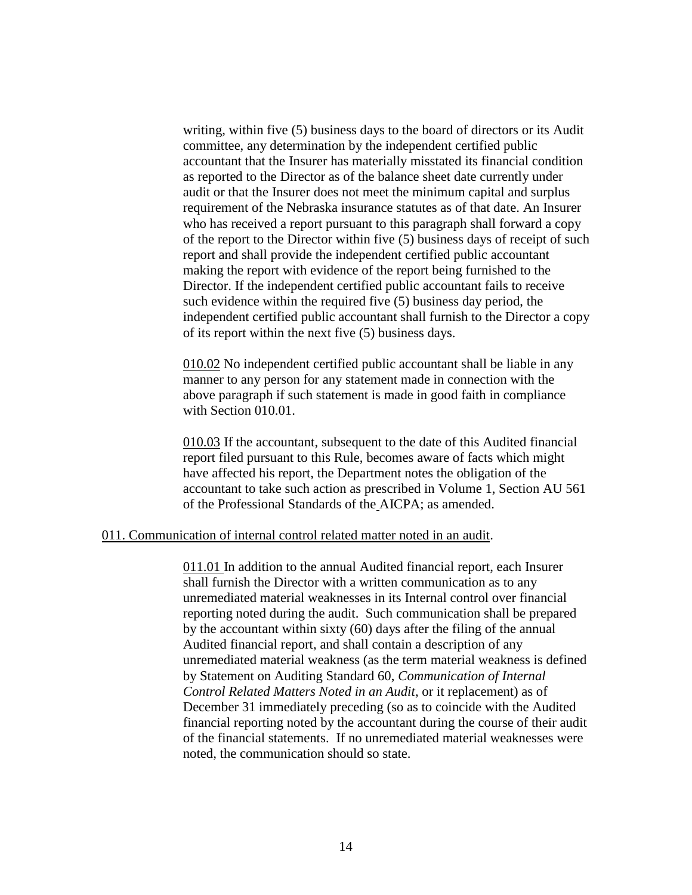writing, within five (5) business days to the board of directors or its Audit committee, any determination by the independent certified public accountant that the Insurer has materially misstated its financial condition as reported to the Director as of the balance sheet date currently under audit or that the Insurer does not meet the minimum capital and surplus requirement of the Nebraska insurance statutes as of that date. An Insurer who has received a report pursuant to this paragraph shall forward a copy of the report to the Director within five (5) business days of receipt of such report and shall provide the independent certified public accountant making the report with evidence of the report being furnished to the Director. If the independent certified public accountant fails to receive such evidence within the required five (5) business day period, the independent certified public accountant shall furnish to the Director a copy of its report within the next five (5) business days.

010.02 No independent certified public accountant shall be liable in any manner to any person for any statement made in connection with the above paragraph if such statement is made in good faith in compliance with Section 010.01.

010.03 If the accountant, subsequent to the date of this Audited financial report filed pursuant to this Rule, becomes aware of facts which might have affected his report, the Department notes the obligation of the accountant to take such action as prescribed in Volume 1, Section AU 561 of the Professional Standards of the AICPA; as amended.

### 011. Communication of internal control related matter noted in an audit.

011.01 In addition to the annual Audited financial report, each Insurer shall furnish the Director with a written communication as to any unremediated material weaknesses in its Internal control over financial reporting noted during the audit. Such communication shall be prepared by the accountant within sixty (60) days after the filing of the annual Audited financial report, and shall contain a description of any unremediated material weakness (as the term material weakness is defined by Statement on Auditing Standard 60, *Communication of Internal Control Related Matters Noted in an Audit*, or it replacement) as of December 31 immediately preceding (so as to coincide with the Audited financial reporting noted by the accountant during the course of their audit of the financial statements. If no unremediated material weaknesses were noted, the communication should so state.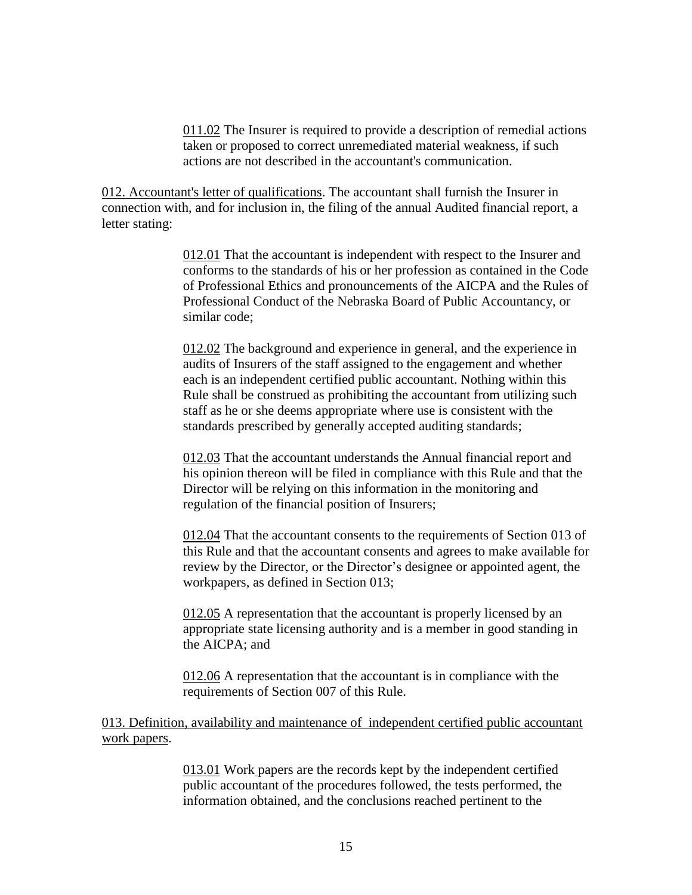011.02 The Insurer is required to provide a description of remedial actions taken or proposed to correct unremediated material weakness, if such actions are not described in the accountant's communication.

012. Accountant's letter of qualifications. The accountant shall furnish the Insurer in connection with, and for inclusion in, the filing of the annual Audited financial report, a letter stating:

> 012.01 That the accountant is independent with respect to the Insurer and conforms to the standards of his or her profession as contained in the Code of Professional Ethics and pronouncements of the AICPA and the Rules of Professional Conduct of the Nebraska Board of Public Accountancy, or similar code;

012.02 The background and experience in general, and the experience in audits of Insurers of the staff assigned to the engagement and whether each is an independent certified public accountant. Nothing within this Rule shall be construed as prohibiting the accountant from utilizing such staff as he or she deems appropriate where use is consistent with the standards prescribed by generally accepted auditing standards;

012.03 That the accountant understands the Annual financial report and his opinion thereon will be filed in compliance with this Rule and that the Director will be relying on this information in the monitoring and regulation of the financial position of Insurers;

012.04 That the accountant consents to the requirements of Section 013 of this Rule and that the accountant consents and agrees to make available for review by the Director, or the Director's designee or appointed agent, the workpapers, as defined in Section 013;

012.05 A representation that the accountant is properly licensed by an appropriate state licensing authority and is a member in good standing in the AICPA; and

012.06 A representation that the accountant is in compliance with the requirements of Section 007 of this Rule.

013. Definition, availability and maintenance of independent certified public accountant work papers.

> 013.01 Work papers are the records kept by the independent certified public accountant of the procedures followed, the tests performed, the information obtained, and the conclusions reached pertinent to the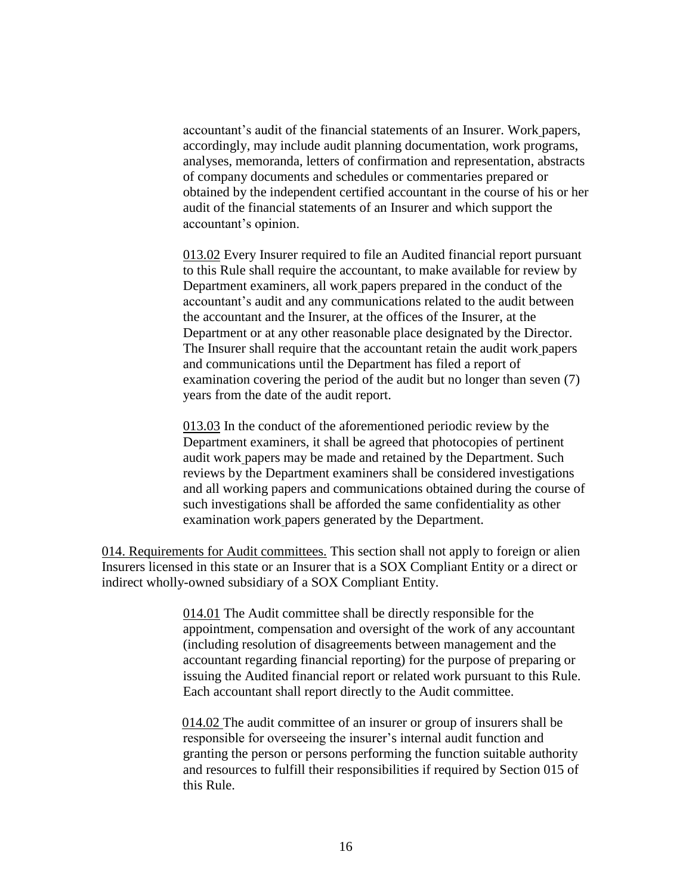accountant's audit of the financial statements of an Insurer. Work papers, accordingly, may include audit planning documentation, work programs, analyses, memoranda, letters of confirmation and representation, abstracts of company documents and schedules or commentaries prepared or obtained by the independent certified accountant in the course of his or her audit of the financial statements of an Insurer and which support the accountant's opinion.

013.02 Every Insurer required to file an Audited financial report pursuant to this Rule shall require the accountant, to make available for review by Department examiners, all work papers prepared in the conduct of the accountant's audit and any communications related to the audit between the accountant and the Insurer, at the offices of the Insurer, at the Department or at any other reasonable place designated by the Director. The Insurer shall require that the accountant retain the audit work papers and communications until the Department has filed a report of examination covering the period of the audit but no longer than seven (7) years from the date of the audit report.

013.03 In the conduct of the aforementioned periodic review by the Department examiners, it shall be agreed that photocopies of pertinent audit work papers may be made and retained by the Department. Such reviews by the Department examiners shall be considered investigations and all working papers and communications obtained during the course of such investigations shall be afforded the same confidentiality as other examination work papers generated by the Department.

014. Requirements for Audit committees. This section shall not apply to foreign or alien Insurers licensed in this state or an Insurer that is a SOX Compliant Entity or a direct or indirect wholly-owned subsidiary of a SOX Compliant Entity.

> 014.01 The Audit committee shall be directly responsible for the appointment, compensation and oversight of the work of any accountant (including resolution of disagreements between management and the accountant regarding financial reporting) for the purpose of preparing or issuing the Audited financial report or related work pursuant to this Rule. Each accountant shall report directly to the Audit committee.

> 014.02 The audit committee of an insurer or group of insurers shall be responsible for overseeing the insurer's internal audit function and granting the person or persons performing the function suitable authority and resources to fulfill their responsibilities if required by Section 015 of this Rule.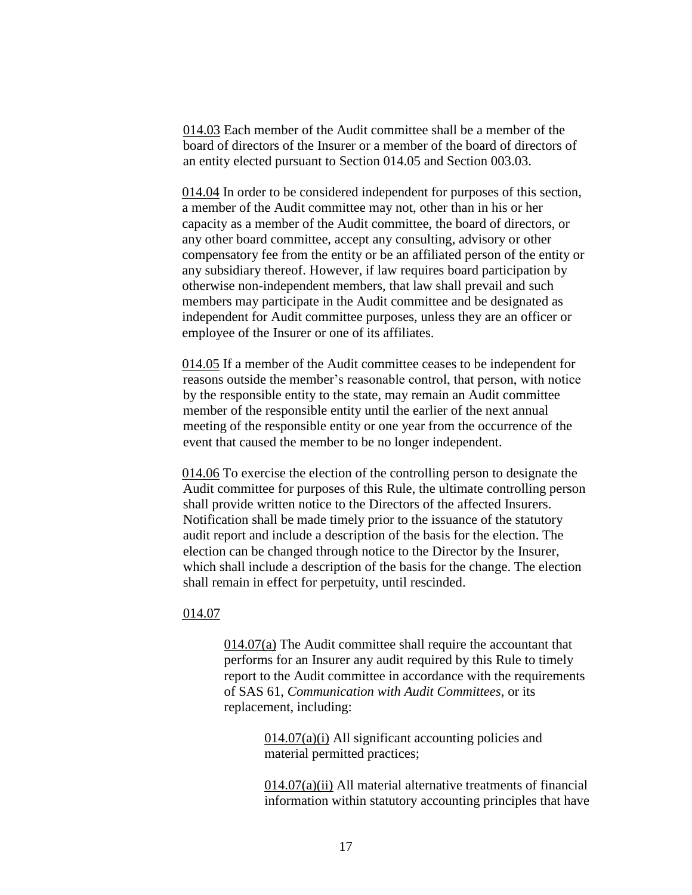014.03 Each member of the Audit committee shall be a member of the board of directors of the Insurer or a member of the board of directors of an entity elected pursuant to Section 014.05 and Section 003.03.

014.04 In order to be considered independent for purposes of this section, a member of the Audit committee may not, other than in his or her capacity as a member of the Audit committee, the board of directors, or any other board committee, accept any consulting, advisory or other compensatory fee from the entity or be an affiliated person of the entity or any subsidiary thereof. However, if law requires board participation by otherwise non-independent members, that law shall prevail and such members may participate in the Audit committee and be designated as independent for Audit committee purposes, unless they are an officer or employee of the Insurer or one of its affiliates.

014.05 If a member of the Audit committee ceases to be independent for reasons outside the member's reasonable control, that person, with notice by the responsible entity to the state, may remain an Audit committee member of the responsible entity until the earlier of the next annual meeting of the responsible entity or one year from the occurrence of the event that caused the member to be no longer independent.

014.06 To exercise the election of the controlling person to designate the Audit committee for purposes of this Rule, the ultimate controlling person shall provide written notice to the Directors of the affected Insurers. Notification shall be made timely prior to the issuance of the statutory audit report and include a description of the basis for the election. The election can be changed through notice to the Director by the Insurer, which shall include a description of the basis for the change. The election shall remain in effect for perpetuity, until rescinded.

### 014.07

 $014.07(a)$  The Audit committee shall require the accountant that performs for an Insurer any audit required by this Rule to timely report to the Audit committee in accordance with the requirements of SAS 61, *Communication with Audit Committees*, or its replacement, including:

> $014.07(a)(i)$  All significant accounting policies and material permitted practices;

014.07(a)(ii) All material alternative treatments of financial information within statutory accounting principles that have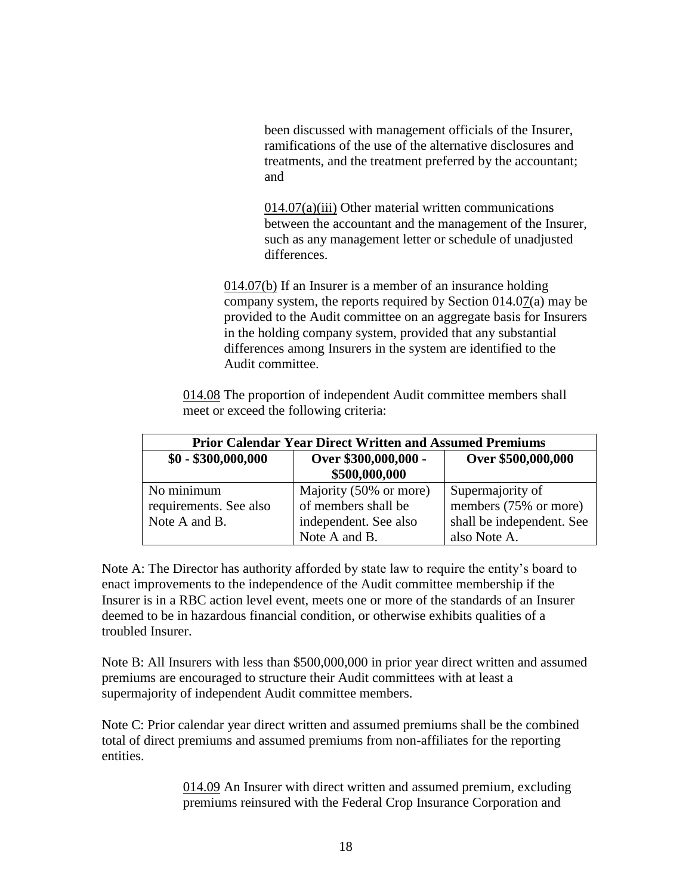been discussed with management officials of the Insurer, ramifications of the use of the alternative disclosures and treatments, and the treatment preferred by the accountant; and

014.07(a)(iii) Other material written communications between the accountant and the management of the Insurer, such as any management letter or schedule of unadjusted differences.

014.07(b) If an Insurer is a member of an insurance holding company system, the reports required by Section  $014.07(a)$  may be provided to the Audit committee on an aggregate basis for Insurers in the holding company system, provided that any substantial differences among Insurers in the system are identified to the Audit committee.

014.08 The proportion of independent Audit committee members shall meet or exceed the following criteria:

| <b>Prior Calendar Year Direct Written and Assumed Premiums</b> |                                       |                           |
|----------------------------------------------------------------|---------------------------------------|---------------------------|
| $$0 - $300,000,000$                                            | Over \$300,000,000 -<br>\$500,000,000 | Over \$500,000,000        |
| No minimum                                                     | Majority (50% or more)                | Supermajority of          |
| requirements. See also                                         | of members shall be                   | members (75% or more)     |
| Note A and B.                                                  | independent. See also                 | shall be independent. See |
|                                                                | Note A and B.                         | also Note A.              |

Note A: The Director has authority afforded by state law to require the entity's board to enact improvements to the independence of the Audit committee membership if the Insurer is in a RBC action level event, meets one or more of the standards of an Insurer deemed to be in hazardous financial condition, or otherwise exhibits qualities of a troubled Insurer.

Note B: All Insurers with less than \$500,000,000 in prior year direct written and assumed premiums are encouraged to structure their Audit committees with at least a supermajority of independent Audit committee members.

Note C: Prior calendar year direct written and assumed premiums shall be the combined total of direct premiums and assumed premiums from non-affiliates for the reporting entities.

> 014.09 An Insurer with direct written and assumed premium, excluding premiums reinsured with the Federal Crop Insurance Corporation and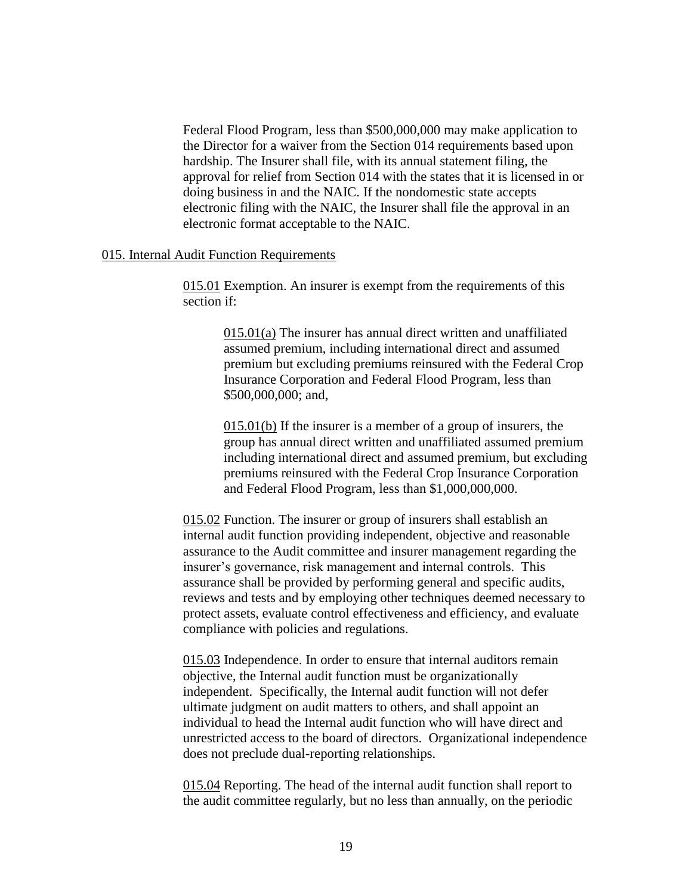Federal Flood Program, less than \$500,000,000 may make application to the Director for a waiver from the Section 014 requirements based upon hardship. The Insurer shall file, with its annual statement filing, the approval for relief from Section 014 with the states that it is licensed in or doing business in and the NAIC. If the nondomestic state accepts electronic filing with the NAIC, the Insurer shall file the approval in an electronic format acceptable to the NAIC.

#### 015. Internal Audit Function Requirements

015.01 Exemption. An insurer is exempt from the requirements of this section if:

> 015.01(a) The insurer has annual direct written and unaffiliated assumed premium, including international direct and assumed premium but excluding premiums reinsured with the Federal Crop Insurance Corporation and Federal Flood Program, less than \$500,000,000; and,

015.01(b) If the insurer is a member of a group of insurers, the group has annual direct written and unaffiliated assumed premium including international direct and assumed premium, but excluding premiums reinsured with the Federal Crop Insurance Corporation and Federal Flood Program, less than \$1,000,000,000.

015.02 Function. The insurer or group of insurers shall establish an internal audit function providing independent, objective and reasonable assurance to the Audit committee and insurer management regarding the insurer's governance, risk management and internal controls. This assurance shall be provided by performing general and specific audits, reviews and tests and by employing other techniques deemed necessary to protect assets, evaluate control effectiveness and efficiency, and evaluate compliance with policies and regulations.

015.03 Independence. In order to ensure that internal auditors remain objective, the Internal audit function must be organizationally independent. Specifically, the Internal audit function will not defer ultimate judgment on audit matters to others, and shall appoint an individual to head the Internal audit function who will have direct and unrestricted access to the board of directors. Organizational independence does not preclude dual-reporting relationships.

015.04 Reporting. The head of the internal audit function shall report to the audit committee regularly, but no less than annually, on the periodic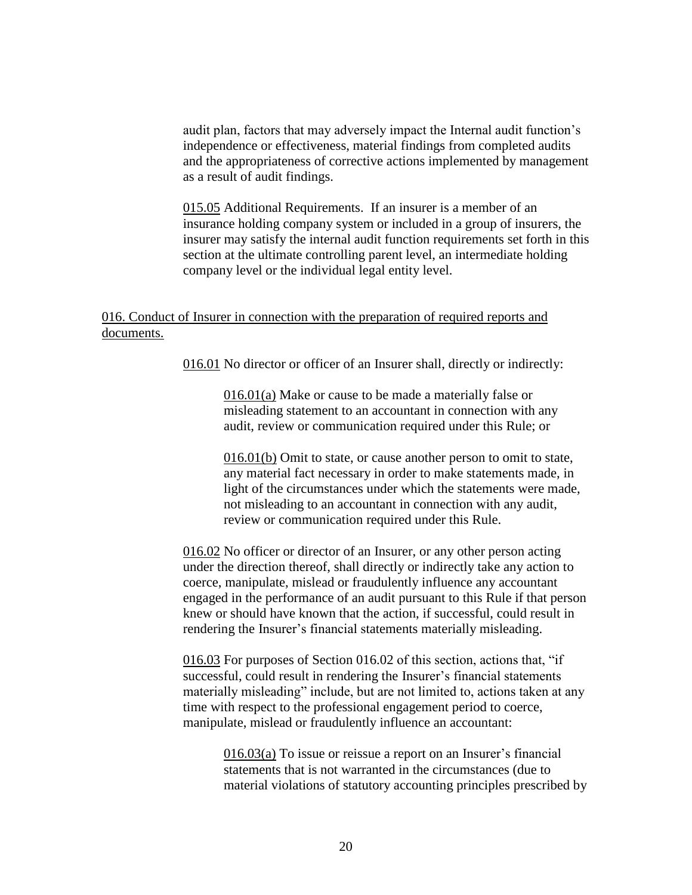audit plan, factors that may adversely impact the Internal audit function's independence or effectiveness, material findings from completed audits and the appropriateness of corrective actions implemented by management as a result of audit findings.

015.05 Additional Requirements. If an insurer is a member of an insurance holding company system or included in a group of insurers, the insurer may satisfy the internal audit function requirements set forth in this section at the ultimate controlling parent level, an intermediate holding company level or the individual legal entity level.

# 016. Conduct of Insurer in connection with the preparation of required reports and documents.

016.01 No director or officer of an Insurer shall, directly or indirectly:

016.01(a) Make or cause to be made a materially false or misleading statement to an accountant in connection with any audit, review or communication required under this Rule; or

016.01(b) Omit to state, or cause another person to omit to state, any material fact necessary in order to make statements made, in light of the circumstances under which the statements were made, not misleading to an accountant in connection with any audit, review or communication required under this Rule.

016.02 No officer or director of an Insurer, or any other person acting under the direction thereof, shall directly or indirectly take any action to coerce, manipulate, mislead or fraudulently influence any accountant engaged in the performance of an audit pursuant to this Rule if that person knew or should have known that the action, if successful, could result in rendering the Insurer's financial statements materially misleading.

016.03 For purposes of Section 016.02 of this section, actions that, "if successful, could result in rendering the Insurer's financial statements materially misleading" include, but are not limited to, actions taken at any time with respect to the professional engagement period to coerce, manipulate, mislead or fraudulently influence an accountant:

> 016.03(a) To issue or reissue a report on an Insurer's financial statements that is not warranted in the circumstances (due to material violations of statutory accounting principles prescribed by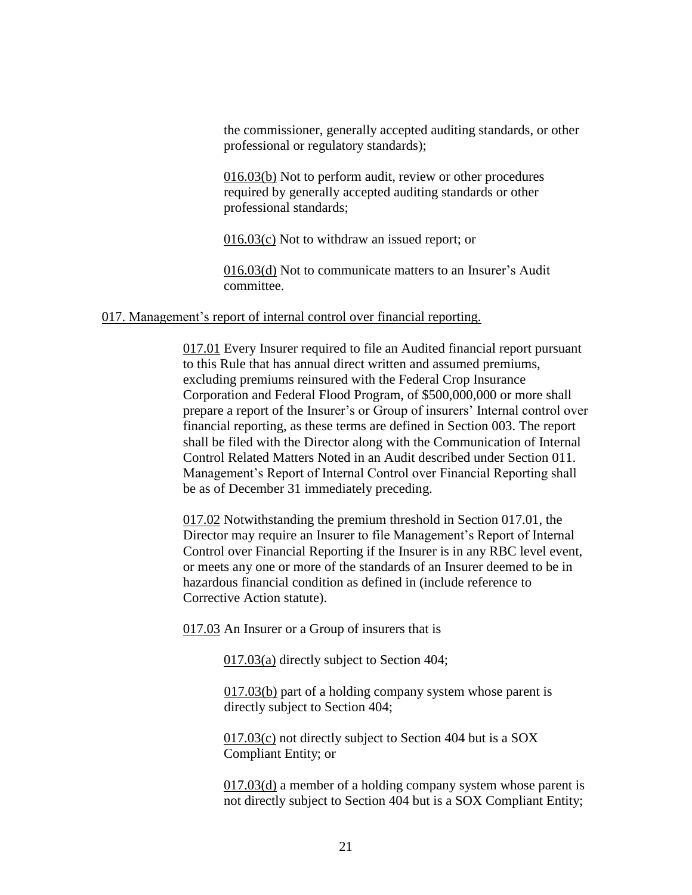the commissioner, generally accepted auditing standards, or other professional or regulatory standards);

016.03(b) Not to perform audit, review or other procedures required by generally accepted auditing standards or other professional standards;

016.03(c) Not to withdraw an issued report; or

016.03(d) Not to communicate matters to an Insurer's Audit committee.

### 017. Management's report of internal control over financial reporting.

017.01 Every Insurer required to file an Audited financial report pursuant to this Rule that has annual direct written and assumed premiums, excluding premiums reinsured with the Federal Crop Insurance Corporation and Federal Flood Program, of \$500,000,000 or more shall prepare a report of the Insurer's or Group of insurers' Internal control over financial reporting, as these terms are defined in Section 003. The report shall be filed with the Director along with the Communication of Internal Control Related Matters Noted in an Audit described under Section 011. Management's Report of Internal Control over Financial Reporting shall be as of December 31 immediately preceding.

017.02 Notwithstanding the premium threshold in Section 017.01, the Director may require an Insurer to file Management's Report of Internal Control over Financial Reporting if the Insurer is in any RBC level event, or meets any one or more of the standards of an Insurer deemed to be in hazardous financial condition as defined in (include reference to Corrective Action statute).

017.03 An Insurer or a Group of insurers that is

017.03(a) directly subject to Section 404;

017.03(b) part of a holding company system whose parent is directly subject to Section 404;

017.03(c) not directly subject to Section 404 but is a SOX Compliant Entity; or

017.03(d) a member of a holding company system whose parent is not directly subject to Section 404 but is a SOX Compliant Entity;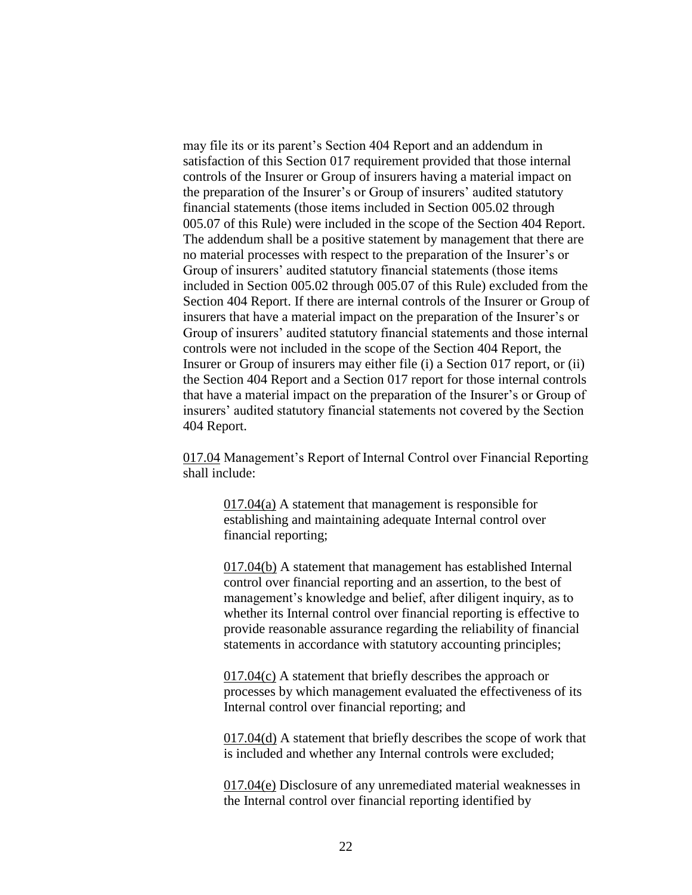may file its or its parent's Section 404 Report and an addendum in satisfaction of this Section 017 requirement provided that those internal controls of the Insurer or Group of insurers having a material impact on the preparation of the Insurer's or Group of insurers' audited statutory financial statements (those items included in Section 005.02 through 005.07 of this Rule) were included in the scope of the Section 404 Report. The addendum shall be a positive statement by management that there are no material processes with respect to the preparation of the Insurer's or Group of insurers' audited statutory financial statements (those items included in Section 005.02 through 005.07 of this Rule) excluded from the Section 404 Report. If there are internal controls of the Insurer or Group of insurers that have a material impact on the preparation of the Insurer's or Group of insurers' audited statutory financial statements and those internal controls were not included in the scope of the Section 404 Report, the Insurer or Group of insurers may either file (i) a Section 017 report, or (ii) the Section 404 Report and a Section 017 report for those internal controls that have a material impact on the preparation of the Insurer's or Group of insurers' audited statutory financial statements not covered by the Section 404 Report.

017.04 Management's Report of Internal Control over Financial Reporting shall include:

> 017.04(a) A statement that management is responsible for establishing and maintaining adequate Internal control over financial reporting;

017.04(b) A statement that management has established Internal control over financial reporting and an assertion, to the best of management's knowledge and belief, after diligent inquiry, as to whether its Internal control over financial reporting is effective to provide reasonable assurance regarding the reliability of financial statements in accordance with statutory accounting principles;

017.04(c) A statement that briefly describes the approach or processes by which management evaluated the effectiveness of its Internal control over financial reporting; and

017.04(d) A statement that briefly describes the scope of work that is included and whether any Internal controls were excluded;

017.04(e) Disclosure of any unremediated material weaknesses in the Internal control over financial reporting identified by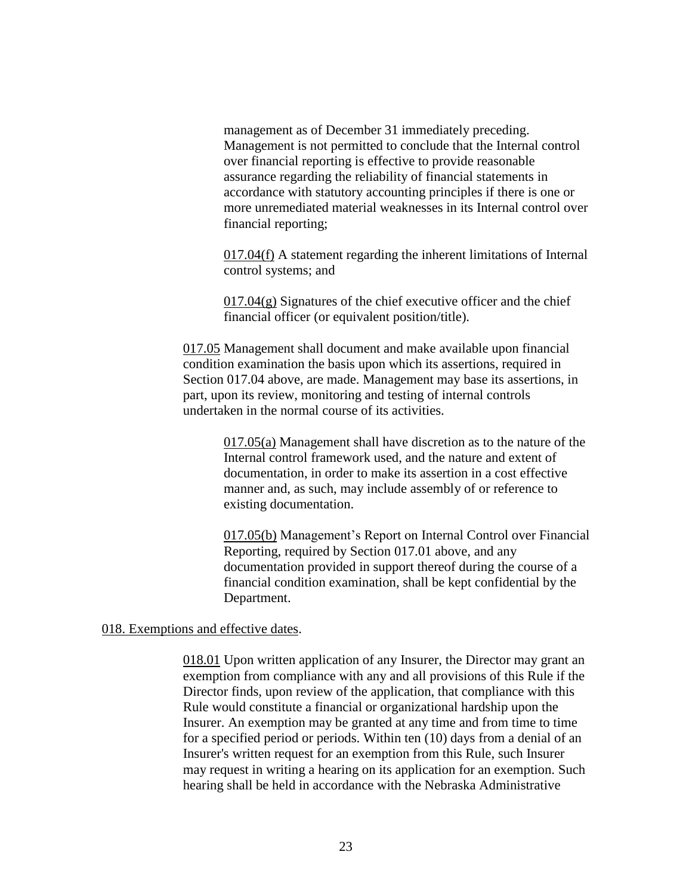management as of December 31 immediately preceding. Management is not permitted to conclude that the Internal control over financial reporting is effective to provide reasonable assurance regarding the reliability of financial statements in accordance with statutory accounting principles if there is one or more unremediated material weaknesses in its Internal control over financial reporting;

017.04(f) A statement regarding the inherent limitations of Internal control systems; and

 $017.04(g)$  Signatures of the chief executive officer and the chief financial officer (or equivalent position/title).

017.05 Management shall document and make available upon financial condition examination the basis upon which its assertions, required in Section 017.04 above, are made. Management may base its assertions, in part, upon its review, monitoring and testing of internal controls undertaken in the normal course of its activities.

> 017.05(a) Management shall have discretion as to the nature of the Internal control framework used, and the nature and extent of documentation, in order to make its assertion in a cost effective manner and, as such, may include assembly of or reference to existing documentation.

> 017.05(b) Management's Report on Internal Control over Financial Reporting, required by Section 017.01 above, and any documentation provided in support thereof during the course of a financial condition examination, shall be kept confidential by the Department.

### 018. Exemptions and effective dates.

018.01 Upon written application of any Insurer, the Director may grant an exemption from compliance with any and all provisions of this Rule if the Director finds, upon review of the application, that compliance with this Rule would constitute a financial or organizational hardship upon the Insurer. An exemption may be granted at any time and from time to time for a specified period or periods. Within ten (10) days from a denial of an Insurer's written request for an exemption from this Rule, such Insurer may request in writing a hearing on its application for an exemption. Such hearing shall be held in accordance with the Nebraska Administrative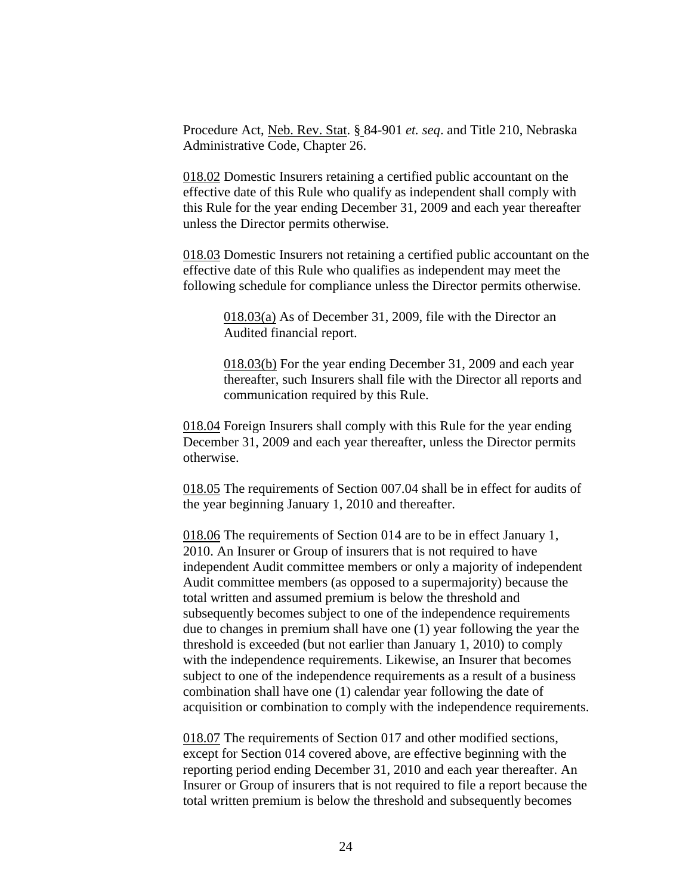Procedure Act, Neb. Rev. Stat. § 84-901 *et. seq*. and Title 210, Nebraska Administrative Code, Chapter 26.

018.02 Domestic Insurers retaining a certified public accountant on the effective date of this Rule who qualify as independent shall comply with this Rule for the year ending December 31, 2009 and each year thereafter unless the Director permits otherwise.

018.03 Domestic Insurers not retaining a certified public accountant on the effective date of this Rule who qualifies as independent may meet the following schedule for compliance unless the Director permits otherwise.

> 018.03(a) As of December 31, 2009, file with the Director an Audited financial report.

018.03(b) For the year ending December 31, 2009 and each year thereafter, such Insurers shall file with the Director all reports and communication required by this Rule.

018.04 Foreign Insurers shall comply with this Rule for the year ending December 31, 2009 and each year thereafter, unless the Director permits otherwise.

018.05 The requirements of Section 007.04 shall be in effect for audits of the year beginning January 1, 2010 and thereafter.

018.06 The requirements of Section 014 are to be in effect January 1, 2010. An Insurer or Group of insurers that is not required to have independent Audit committee members or only a majority of independent Audit committee members (as opposed to a supermajority) because the total written and assumed premium is below the threshold and subsequently becomes subject to one of the independence requirements due to changes in premium shall have one (1) year following the year the threshold is exceeded (but not earlier than January 1, 2010) to comply with the independence requirements. Likewise, an Insurer that becomes subject to one of the independence requirements as a result of a business combination shall have one (1) calendar year following the date of acquisition or combination to comply with the independence requirements.

018.07 The requirements of Section 017 and other modified sections, except for Section 014 covered above, are effective beginning with the reporting period ending December 31, 2010 and each year thereafter. An Insurer or Group of insurers that is not required to file a report because the total written premium is below the threshold and subsequently becomes